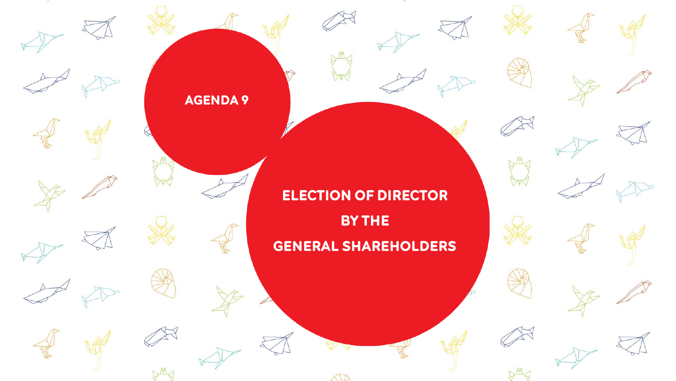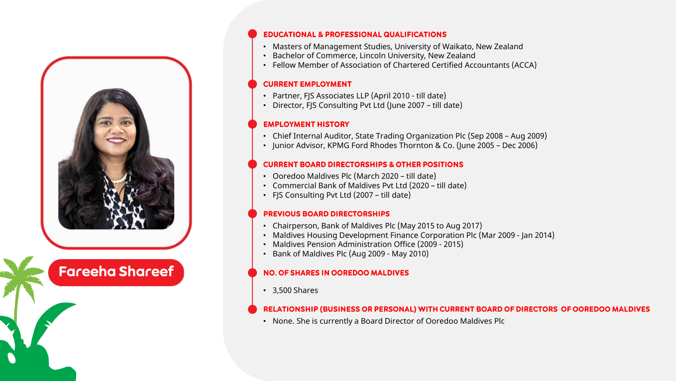

# **Fareeha Shareef**

## **EDUCATIONAL & PROFESSIONAL QUALIFICATIONS**

- Masters of Management Studies, University of Waikato, New Zealand
- Bachelor of Commerce, Lincoln University, New Zealand
- Fellow Member of Association of Chartered Certified Accountants (ACCA)

## **CURRENT EMPLOYMENT**

- Partner, FJS Associates LLP (April 2010 till date)
- Director, FJS Consulting Pvt Ltd (June 2007 till date)

## **EMPLOYMENT HISTORY**

- Chief Internal Auditor, State Trading Organization Plc (Sep 2008 Aug 2009)
- Junior Advisor, KPMG Ford Rhodes Thornton & Co. (June 2005 Dec 2006)

## **CURRENT BOARD DIRECTORSHIPS & OTHER POSITIONS**

- Ooredoo Maldives Plc (March 2020 till date)
- Commercial Bank of Maldives Pvt Ltd (2020 till date)
- FJS Consulting Pvt Ltd (2007 till date)

## **PREVIOUS BOARD DIRECTORSHIPS**

- Chairperson, Bank of Maldives Plc (May 2015 to Aug 2017)
- Maldives Housing Development Finance Corporation Plc (Mar 2009 Jan 2014)
- Maldives Pension Administration Office (2009 2015)
- Bank of Maldives Plc (Aug 2009 May 2010)

## **NO. OF SHARES IN OOREDOO MALDIVES**

• 3,500 Shares

## RELATIONSHIP (BUSINESS OR PERSONAL) WITH CURRENT BOARD OF DIRECTORS OF OOREDOO MALDIVES

• None. She is currently a Board Director of Ooredoo Maldives Plc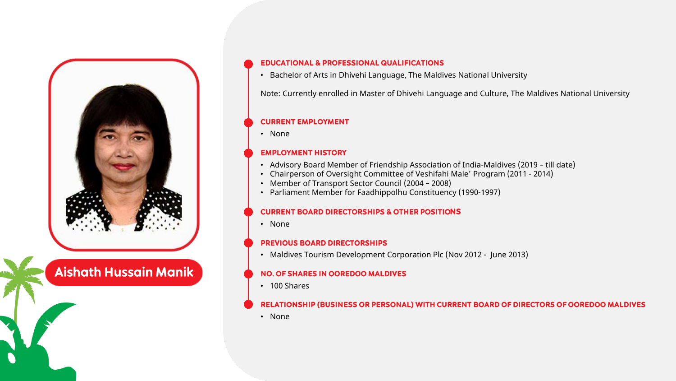

## **Aishath Hussain Manik**

## **EDUCATIONAL & PROFESSIONAL QUALIFICATIONS**

• Bachelor of Arts in Dhivehi Language, The Maldives National University

Note: Currently enrolled in Master of Dhivehi Language and Culture, The Maldives National University

#### **CURRENT EMPLOYMENT**

• None

## **EMPLOYMENT HISTORY**

- Advisory Board Member of Friendship Association of India-Maldives (2019 till date)
- Chairperson of Oversight Committee of Veshifahi Male' Program (2011 2014)
- Member of Transport Sector Council (2004 2008)
- Parliament Member for Faadhippolhu Constituency (1990-1997)

#### **CURRENT BOARD DIRECTORSHIPS & OTHER POSITIONS**

• None

#### **PREVIOUS BOARD DIRECTORSHIPS**

• Maldives Tourism Development Corporation Plc (Nov 2012 - June 2013)

## **NO. OF SHARES IN OOREDOO MALDIVES**

• 100 Shares

## RELATIONSHIP (BUSINESS OR PERSONAL) WITH CURRENT BOARD OF DIRECTORS OF OOREDOO MALDIVES

• None